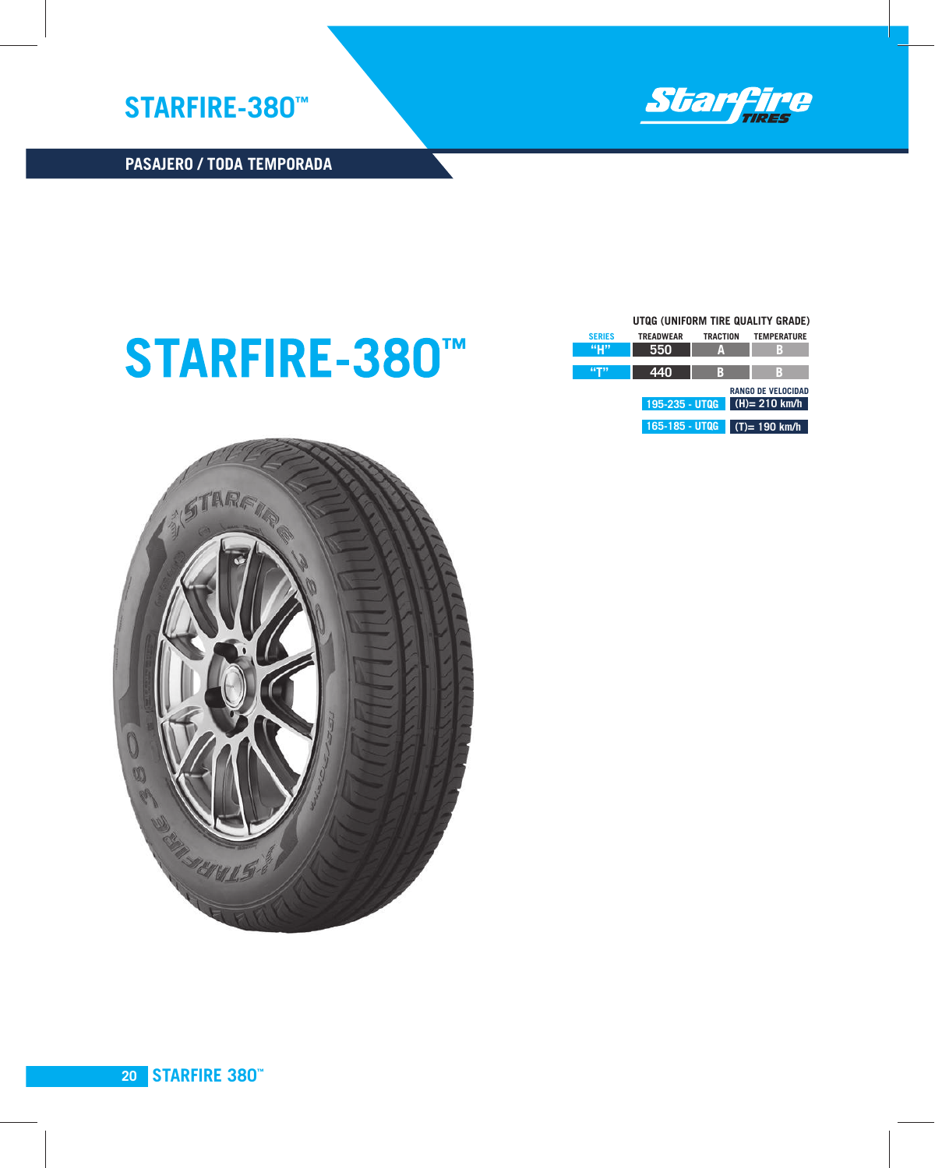

## **STARFIRE-380™**

**UTQG (UNIFORM TIRE QUALITY GRADE)** 

|               | <u>UIUG (UNIFURIVI TIRE QUALITY GRADE)</u> |                 |                           |
|---------------|--------------------------------------------|-----------------|---------------------------|
| <b>SERIES</b> | <b>TREADWEAR</b>                           | <b>TRACTION</b> | <b>TEMPERATURE</b>        |
|               | 550                                        | A               | B                         |
| 44T11         | 440                                        | B               | B                         |
|               |                                            |                 | <b>RANGO DE VELOCIDAD</b> |
|               | 195-235 - UTQG                             |                 | $(H)= 210$ km/h           |
|               | 165-185 - UTQG                             |                 | $(T) = 190$ km/h          |

**LARGOS RECORRIDOS PASAJERO / TODA TEMPORADA**

**STARFIRE-380™**

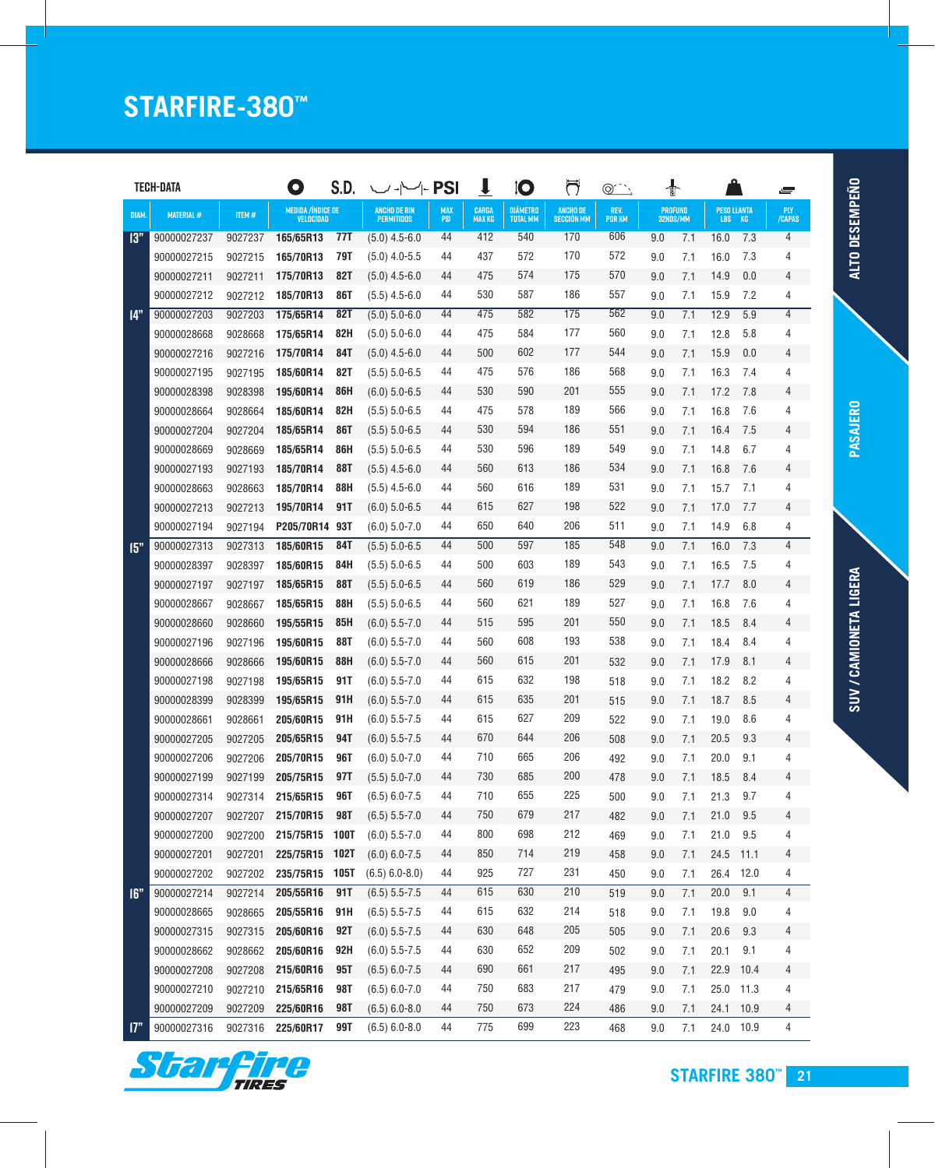## **STARFIRE-380™**

|       | <b>TECH-DATA</b> |         | O                                    | S.D.        | $\cup \leftarrow \leftarrow$ PSI         |                          | $\mathbf{I}$                  | 10                          | ರ                                    | $@^{\frown}$   | ╉   |                            |             |                          | s               |
|-------|------------------|---------|--------------------------------------|-------------|------------------------------------------|--------------------------|-------------------------------|-----------------------------|--------------------------------------|----------------|-----|----------------------------|-------------|--------------------------|-----------------|
| DIAM. | <b>MATERIAL#</b> | ITEM#   | <b>MEDIDA/ÍNDICE DE</b><br>VELOCIDAD |             | <b>ANCHO DE RIN</b><br><b>PERMITIDOS</b> | <b>MAX</b><br><b>PSI</b> | <b>CARGA</b><br><b>MAX KG</b> | DIÁMETRO<br><b>TOTAL MM</b> | <b>ANCHO DE</b><br><b>SECCIÓN MM</b> | REV.<br>Por KM |     | <b>PROFUND</b><br>32NDS/MM |             | <b>PESO LLANTA</b><br>KG | PLY<br>Capas    |
| 13"   | 90000027237      | 9027237 | 165/65R13                            | 77T         | $(5.0)$ 4.5-6.0                          | 44                       | 412                           | 540                         | 170                                  | 606            | 9.0 | 7.1                        | LBS<br>16.0 | 7.3                      | $\overline{4}$  |
|       | 90000027215      | 9027215 | 165/70R13                            | 79T         | $(5.0)$ 4.0-5.5                          | 44                       | 437                           | 572                         | 170                                  | 572            | 9.0 | 7.1                        | 16.0        | 7.3                      | 4               |
|       | 90000027211      | 9027211 | 175/70R13                            | 82T         | $(5.0)$ 4.5-6.0                          | 44                       | 475                           | 574                         | 175                                  | 570            | 9.0 | 7.1                        | 14.9        | 0.0                      | 4               |
|       | 90000027212      | 9027212 | 185/70R13                            | <b>86T</b>  | $(5.5)$ 4.5-6.0                          | 44                       | 530                           | 587                         | 186                                  | 557            | 9.0 | 7.1                        | 15.9        | 7.2                      | 4               |
| 14"   | 90000027203      | 9027203 | 175/65R14                            | <b>82T</b>  | $(5.0) 5.0 - 6.0$                        | 44                       | 475                           | 582                         | 175                                  | 562            | 9.0 | 7.1                        | 12.9        | 5.9                      | $\overline{4}$  |
|       | 90000028668      | 9028668 | 175/65R14                            | 82H         | $(5.0) 5.0 - 6.0$                        | 44                       | 475                           | 584                         | 177                                  | 560            | 9.0 | 7.1                        | 12.8        | 5.8                      | 4               |
|       | 90000027216      | 9027216 | 175/70R14                            | 84T         | $(5.0)$ 4.5-6.0                          | 44                       | 500                           | 602                         | 177                                  | 544            | 9.0 | 7.1                        | 15.9        | 0.0                      | 4               |
|       | 90000027195      | 9027195 | 185/60R14                            | 82T         | $(5.5)$ 5.0-6.5                          | 44                       | 475                           | 576                         | 186                                  | 568            | 9.0 | 7.1                        | 16.3        | 7.4                      | 4               |
|       | 90000028398      | 9028398 | 195/60R14                            | 86H         | $(6.0)$ 5.0-6.5                          | 44                       | 530                           | 590                         | 201                                  | 555            | 9.0 | 7.1                        | 17.2        | 7.8                      | 4               |
|       | 90000028664      | 9028664 | 185/60R14                            | 82H         | $(5.5)$ 5.0-6.5                          | 44                       | 475                           | 578                         | 189                                  | 566            | 9.0 | 7.1                        | 16.8        | 7.6                      | 4               |
|       | 90000027204      | 9027204 | 185/65R14                            | <b>86T</b>  | $(5.5)$ 5.0-6.5                          | 44                       | 530                           | 594                         | 186                                  | 551            | 9.0 | 7.1                        | 16.4        | 7.5                      | $\overline{4}$  |
|       | 90000028669      | 9028669 | 185/65R14                            | 86H         | $(5.5)$ 5.0-6.5                          | 44                       | 530                           | 596                         | 189                                  | 549            | 9.0 | 7.1                        | 14.8        | 6.7                      | 4               |
|       | 90000027193      | 9027193 | 185/70R14                            | <b>88T</b>  | $(5.5)$ 4.5-6.0                          | 44                       | 560                           | 613                         | 186                                  | 534            | 9.0 | 7.1                        | 16.8        | 7.6                      | 4               |
|       | 90000028663      | 9028663 | 185/70R14                            | 88H         | $(5.5)$ 4.5-6.0                          | 44                       | 560                           | 616                         | 189                                  | 531            | 9.0 | 7.1                        | 15.7        | 7.1                      | 4               |
|       | 90000027213      | 9027213 | 195/70R14                            | 91T         | $(6.0)$ 5.0-6.5                          | 44                       | 615                           | 627                         | 198                                  | 522            | 9.0 | 7.1                        | 17.0        | 7.7                      | 4               |
|       | 90000027194      | 9027194 | P205/70R14                           | 93T         | $(6.0)$ 5.0-7.0                          | 44                       | 650                           | 640                         | 206                                  | 511            | 9.0 | 7.1                        | 14.9        | 6.8                      | 4               |
| 15"   | 90000027313      | 9027313 | 185/60R15                            | 84T         | $(5.5)$ 5.0-6.5                          | 44                       | 500                           | 597                         | 185                                  | 548            | 9.0 | 7.1                        | 16.0        | 7.3                      | $\overline{4}$  |
|       | 90000028397      | 9028397 | 185/60R15                            | 84H         | $(5.5)$ 5.0-6.5                          | 44                       | 500                           | 603                         | 189                                  | 543            | 9.0 | 7.1                        | 16.5        | 7.5                      | 4               |
|       | 90000027197      | 9027197 | 185/65R15                            | <b>88T</b>  | $(5.5)$ 5.0-6.5                          | 44                       | 560                           | 619                         | 186                                  | 529            | 9.0 | 7.1                        | 17.7        | 8.0                      | 4               |
|       | 90000028667      | 9028667 | 185/65R15                            | 88H         | $(5.5)$ 5.0-6.5                          | 44                       | 560                           | 621                         | 189                                  | 527            | 9.0 | 7.1                        | 16.8        | 7.6                      | 4               |
|       | 90000028660      | 9028660 | 195/55R15                            | 85H         | $(6.0)$ 5.5-7.0                          | 44                       | 515                           | 595                         | 201                                  | 550            | 9.0 | 7.1                        | 18.5        | 8.4                      | 4               |
|       | 90000027196      | 9027196 | 195/60R15                            | <b>88T</b>  | $(6.0)$ 5.5-7.0                          | 44                       | 560                           | 608                         | 193                                  | 538            | 9.0 | 7.1                        | 18.4        | 8.4                      | 4               |
|       | 90000028666      | 9028666 | 195/60R15                            | 88H         | $(6.0)$ 5.5-7.0                          | 44                       | 560                           | 615                         | 201                                  | 532            | 9.0 | 7.1                        | 17.9        | 8.1                      | $\overline{4}$  |
|       | 90000027198      | 9027198 | 195/65R15                            | 91T         | $(6.0)$ 5.5-7.0                          | 44                       | 615                           | 632                         | 198                                  | 518            | 9.0 | 7.1                        | 18.2        | 8.2                      | 4               |
|       | 90000028399      | 9028399 | 195/65R15                            | 91H         | $(6.0)$ 5.5-7.0                          | 44                       | 615                           | 635                         | 201                                  | 515            | 9.0 | 7.1                        | 18.7        | 8.5                      | 4               |
|       | 90000028661      | 9028661 | 205/60R15                            | 91H         | $(6.0)$ 5.5-7.5                          | 44                       | 615                           | 627                         | 209                                  | 522            | 9.0 | 7.1                        | 19.0        | 8.6                      | 4               |
|       | 90000027205      | 9027205 | 205/65R15                            | 94T         | $(6.0)$ 5.5-7.5                          | 44                       | 670                           | 644                         | 206                                  | 508            | 9.0 | 7.1                        | 20.5        | 9.3                      | 4               |
|       | 90000027206      | 9027206 | 205/70R15                            | 96T         | $(6.0) 5.0 - 7.0$                        | 44                       | 710                           | 665                         | 206                                  | 492            | 9.0 | 7.1                        | 20.0        | 9.1                      | 4               |
|       | 90000027199      | 9027199 | 205/75R15                            | 97T         | $(5.5) 5.0 - 7.0$                        | 44                       | 730                           | 685                         | 200                                  | 478            | 9.0 | 7.1                        | 18.5        | 8.4                      | $\overline{4}$  |
|       | 90000027314      | 9027314 | 215/65R15                            | 96T         | $(6.5) 6.0 - 7.5$                        | 44                       | 710                           | 655                         | 225                                  | 500            | 9.0 | 7.1                        | 21.3        | 9.7                      | 4               |
|       | 90000027207      | 9027207 | 215/70R15                            | <b>98T</b>  | $(6.5)$ 5.5-7.0                          | 44                       | 750                           | 679                         | 217                                  | 482            | 9.0 | 7.1                        | 21.0        | $9.5\,$                  | $\overline{4}$  |
|       | 90000027200      | 9027200 | 215/75R15                            | <b>100T</b> | $(6.0) 5.5 - 7.0$                        | 44                       | 800                           | 698                         | 212                                  | 469            | 9.0 | 7.1                        | 21.0        | $9.5\,$                  | 4               |
|       | 90000027201      | 9027201 | 225/75R15                            | <b>102T</b> | $(6.0) 6.0 - 7.5$                        | 44                       | 850                           | 714                         | 219                                  | 458            | 9.0 | 7.1                        | 24.5        | 11.1                     | $4\overline{ }$ |
|       | 90000027202      | 9027202 | 235/75R15                            | <b>105T</b> | $(6.5) 6.0 - 8.0$                        | 44                       | 925                           | 727                         | 231                                  | 450            | 9.0 | 7.1                        | 26.4 12.0   |                          | 4               |
| 16"   | 90000027214      | 9027214 | 205/55R16                            | 91T         | $(6.5)$ 5.5-7.5                          | 44                       | 615                           | 630                         | 210                                  | 519            | 9.0 | 7.1                        | 20.0        | 9.1                      | 4               |
|       | 90000028665      | 9028665 | 205/55R16                            | 91H         | $(6.5)$ 5.5-7.5                          | 44                       | 615                           | 632                         | 214                                  | 518            | 9.0 | 7.1                        | 19.8        | $9.0\,$                  | 4               |
|       | 90000027315      | 9027315 | 205/60R16                            | <b>92T</b>  | $(6.0)$ 5.5-7.5                          | 44                       | 630                           | 648                         | 205                                  | 505            | 9.0 | 7.1                        | 20.6        | 9.3                      | $4\overline{ }$ |
|       | 90000028662      | 9028662 | 205/60R16                            | 92H         | $(6.0)$ 5.5-7.5                          | 44                       | 630                           | 652                         | 209                                  | 502            | 9.0 | 7.1                        | 20.1        | 9.1                      | 4               |
|       | 90000027208      | 9027208 | 215/60R16                            | <b>95T</b>  | $(6.5) 6.0 - 7.5$                        | 44                       | 690                           | 661                         | 217                                  | 495            | 9.0 | 7.1                        | 22.9        | 10.4                     | $4\overline{ }$ |
|       | 90000027210      | 9027210 | 215/65R16                            | <b>98T</b>  | $(6.5) 6.0 - 7.0$                        | 44                       | 750                           | 683                         | 217                                  | 479            | 9.0 | 7.1                        | 25.0 11.3   |                          | 4               |
|       | 90000027209      | 9027209 | 225/60R16                            | <b>98T</b>  | $(6.5) 6.0 - 8.0$                        | 44                       | 750                           | 673                         | 224                                  | 486            | 9.0 | 7.1                        | 24.1        | 10.9                     | $4 \quad$       |
| 17"   | 90000027316      | 9027316 | 225/60R17                            | <b>99T</b>  | $(6.5) 6.0 - 8.0$                        | 44                       | 775                           | 699                         | 223                                  | 468            | 9.0 | 7.1                        | 24.0 10.9   |                          | $\overline{4}$  |



PASAJERO **PASAJERO**

**SUV / CAMIONETA LIGERA SUV / CAMIONETA LIGERA**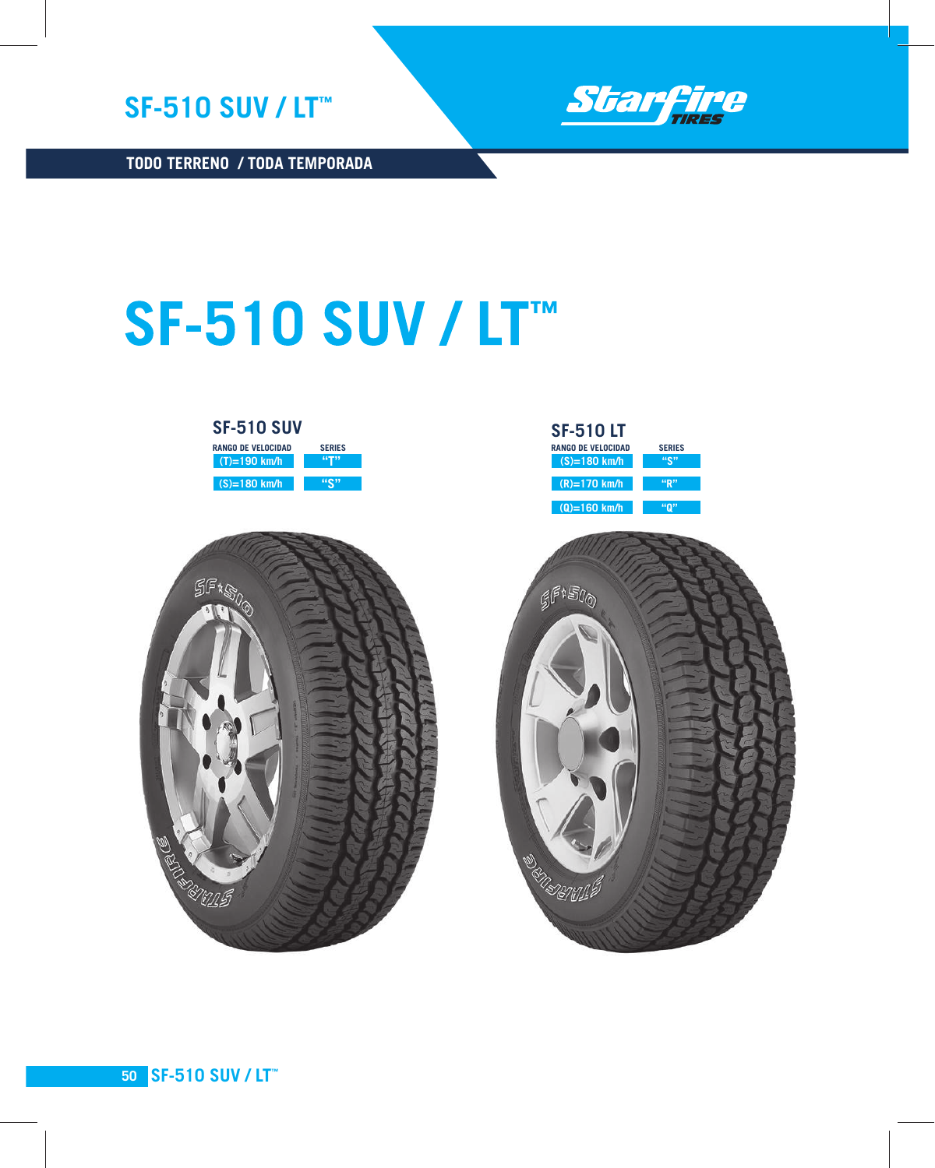



**TODO TERRENO / TODA TEMPORADA**

## **SF-510 SUV / LT™**





| <b>SF-510LT</b>           |                   |
|---------------------------|-------------------|
| <b>RANGO DE VELOCIDAD</b> | <b>SERIES</b>     |
| $(S)=180$ km/h            | $4 \mathbb{C}$ ?? |
| $(R)=170$ km/h            | "R"               |
| $(Q)=160$ km/h            |                   |
|                           |                   |



**SF-510 SUV / LT™ 50**